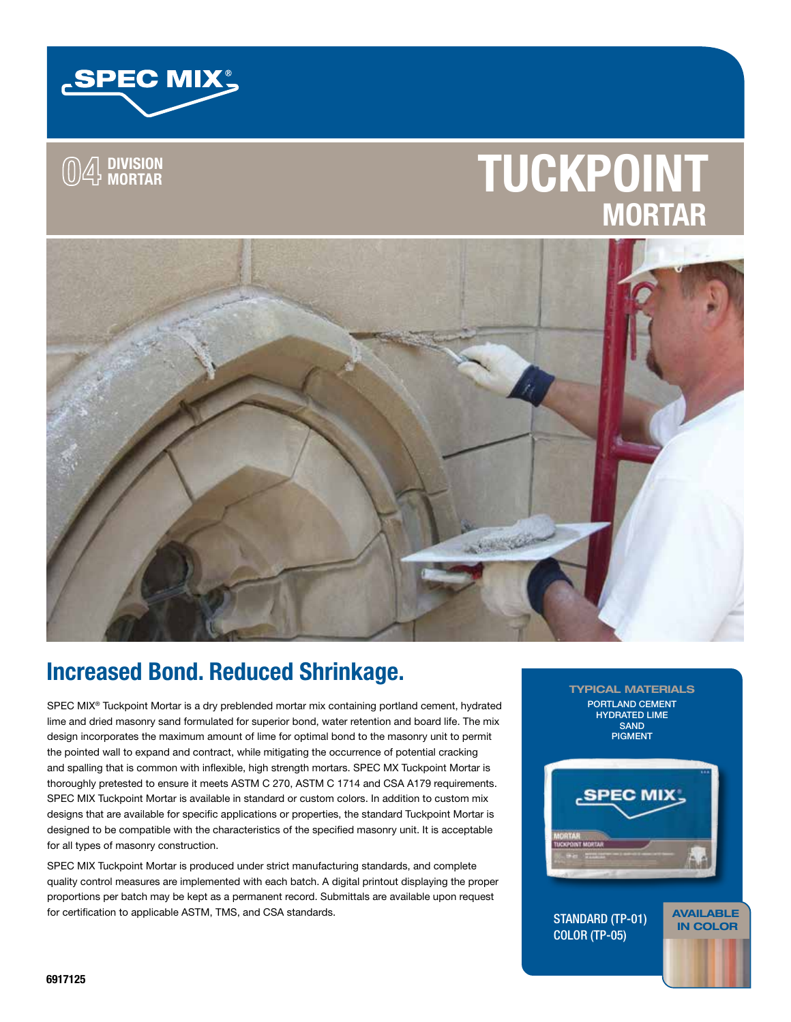

## **04 DIVISION MORTAR**

# **TUCKPOINT MORTAR**



### Increased Bond. Reduced Shrinkage.

SPEC MIX<sup>®</sup> Tuckpoint Mortar is a dry preblended mortar mix containing portland cement, hydrated lime and dried masonry sand formulated for superior bond, water retention and board life. The mix design incorporates the maximum amount of lime for optimal bond to the masonry unit to permit the pointed wall to expand and contract, while mitigating the occurrence of potential cracking and spalling that is common with inflexible, high strength mortars. SPEC MX Tuckpoint Mortar is thoroughly pretested to ensure it meets ASTM C 270, ASTM C 1714 and CSA A179 requirements. SPEC MIX Tuckpoint Mortar is available in standard or custom colors. In addition to custom mix designs that are available for specific applications or properties, the standard Tuckpoint Mortar is designed to be compatible with the characteristics of the specified masonry unit. It is acceptable for all types of masonry construction.

SPEC MIX Tuckpoint Mortar is produced under strict manufacturing standards, and complete quality control measures are implemented with each batch. A digital printout displaying the proper proportions per batch may be kept as a permanent record. Submittals are available upon request for certification to applicable ASTM, TMS, and CSA standards.

TYPICAL MATERIALS PORTLAND CEMENT HYDRATED LIME **SAND** PIGMENT